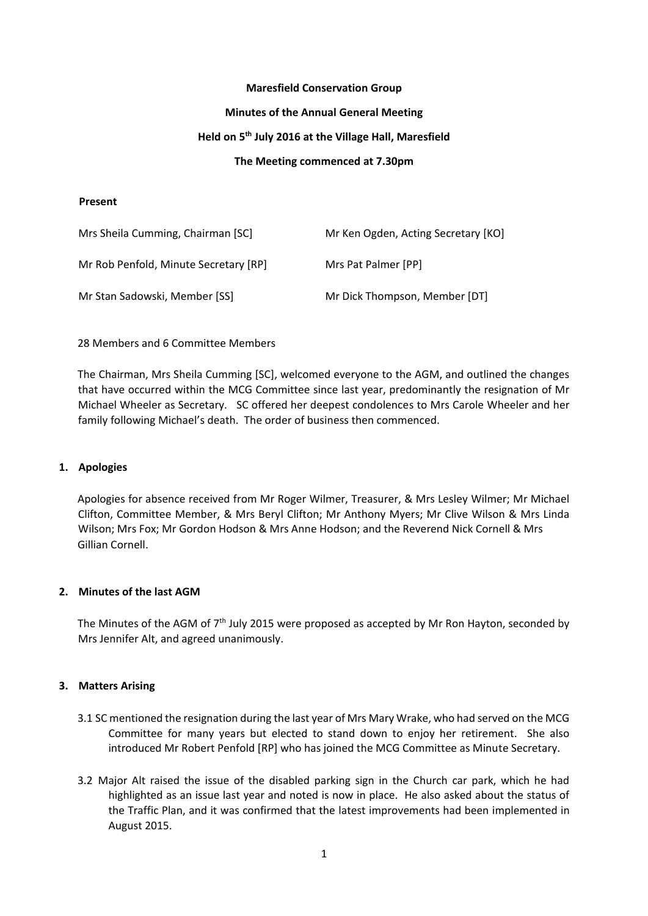### **Maresfield Conservation Group**

#### **Minutes of the Annual General Meeting**

# **Held on 5th July 2016 at the Village Hall, Maresfield**

# **The Meeting commenced at 7.30pm**

#### **Present**

| Mrs Sheila Cumming, Chairman [SC]     | Mr Ken Ogden, Acting Secretary [KO] |
|---------------------------------------|-------------------------------------|
| Mr Rob Penfold, Minute Secretary [RP] | Mrs Pat Palmer [PP]                 |
| Mr Stan Sadowski, Member [SS]         | Mr Dick Thompson, Member [DT]       |

28 Members and 6 Committee Members

The Chairman, Mrs Sheila Cumming [SC], welcomed everyone to the AGM, and outlined the changes that have occurred within the MCG Committee since last year, predominantly the resignation of Mr Michael Wheeler as Secretary. SC offered her deepest condolences to Mrs Carole Wheeler and her family following Michael's death. The order of business then commenced.

# **1. Apologies**

Apologies for absence received from Mr Roger Wilmer, Treasurer, & Mrs Lesley Wilmer; Mr Michael Clifton, Committee Member, & Mrs Beryl Clifton; Mr Anthony Myers; Mr Clive Wilson & Mrs Linda Wilson; Mrs Fox; Mr Gordon Hodson & Mrs Anne Hodson; and the Reverend Nick Cornell & Mrs Gillian Cornell.

# **2. Minutes of the last AGM**

The Minutes of the AGM of 7<sup>th</sup> July 2015 were proposed as accepted by Mr Ron Hayton, seconded by Mrs Jennifer Alt, and agreed unanimously.

# **3. Matters Arising**

- 3.1 SC mentioned the resignation during the last year of Mrs Mary Wrake, who had served on the MCG Committee for many years but elected to stand down to enjoy her retirement. She also introduced Mr Robert Penfold [RP] who has joined the MCG Committee as Minute Secretary.
- 3.2 Major Alt raised the issue of the disabled parking sign in the Church car park, which he had highlighted as an issue last year and noted is now in place. He also asked about the status of the Traffic Plan, and it was confirmed that the latest improvements had been implemented in August 2015.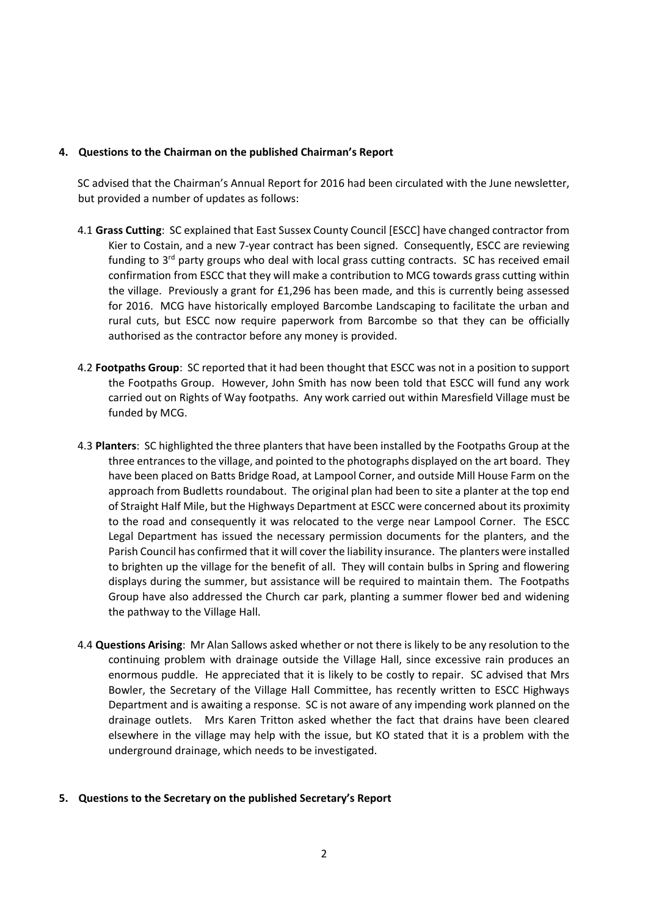### **4. Questions to the Chairman on the published Chairman's Report**

SC advised that the Chairman's Annual Report for 2016 had been circulated with the June newsletter, but provided a number of updates as follows:

- 4.1 **Grass Cutting**: SC explained that East Sussex County Council [ESCC] have changed contractor from Kier to Costain, and a new 7-year contract has been signed. Consequently, ESCC are reviewing funding to  $3<sup>rd</sup>$  party groups who deal with local grass cutting contracts. SC has received email confirmation from ESCC that they will make a contribution to MCG towards grass cutting within the village. Previously a grant for £1,296 has been made, and this is currently being assessed for 2016. MCG have historically employed Barcombe Landscaping to facilitate the urban and rural cuts, but ESCC now require paperwork from Barcombe so that they can be officially authorised as the contractor before any money is provided.
- 4.2 **Footpaths Group**: SC reported that it had been thought that ESCC was not in a position to support the Footpaths Group. However, John Smith has now been told that ESCC will fund any work carried out on Rights of Way footpaths. Any work carried out within Maresfield Village must be funded by MCG.
- 4.3 **Planters**: SC highlighted the three planters that have been installed by the Footpaths Group at the three entrances to the village, and pointed to the photographs displayed on the art board. They have been placed on Batts Bridge Road, at Lampool Corner, and outside Mill House Farm on the approach from Budletts roundabout. The original plan had been to site a planter at the top end of Straight Half Mile, but the Highways Department at ESCC were concerned about its proximity to the road and consequently it was relocated to the verge near Lampool Corner. The ESCC Legal Department has issued the necessary permission documents for the planters, and the Parish Council has confirmed that it will cover the liability insurance. The planters were installed to brighten up the village for the benefit of all. They will contain bulbs in Spring and flowering displays during the summer, but assistance will be required to maintain them. The Footpaths Group have also addressed the Church car park, planting a summer flower bed and widening the pathway to the Village Hall.
- 4.4 **Questions Arising**: Mr Alan Sallows asked whether or not there is likely to be any resolution to the continuing problem with drainage outside the Village Hall, since excessive rain produces an enormous puddle. He appreciated that it is likely to be costly to repair. SC advised that Mrs Bowler, the Secretary of the Village Hall Committee, has recently written to ESCC Highways Department and is awaiting a response. SC is not aware of any impending work planned on the drainage outlets. Mrs Karen Tritton asked whether the fact that drains have been cleared elsewhere in the village may help with the issue, but KO stated that it is a problem with the underground drainage, which needs to be investigated.

#### **5. Questions to the Secretary on the published Secretary's Report**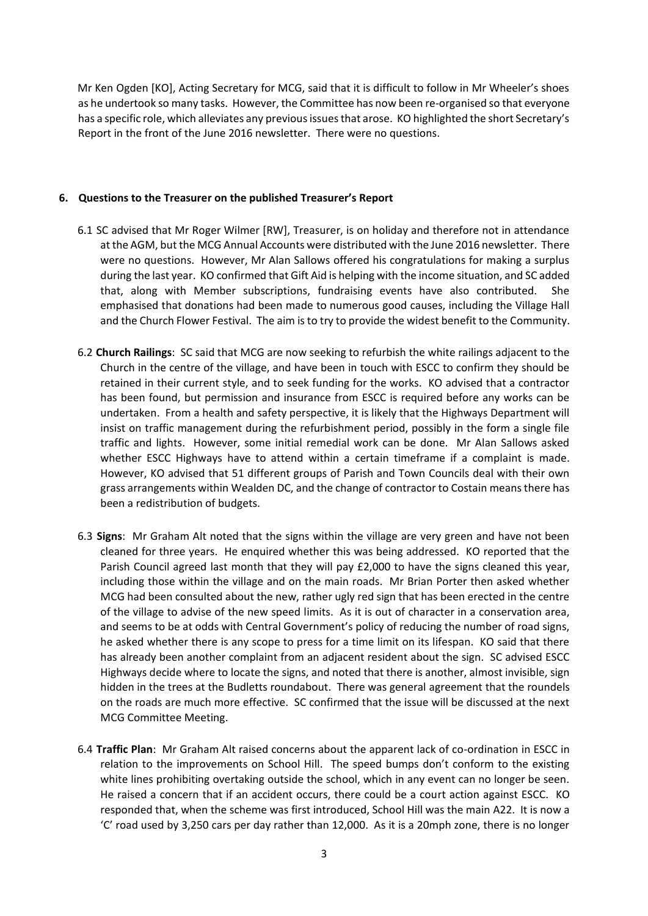Mr Ken Ogden [KO], Acting Secretary for MCG, said that it is difficult to follow in Mr Wheeler's shoes as he undertook so many tasks. However, the Committee has now been re-organised so that everyone has a specific role, which alleviates any previous issues that arose. KO highlighted the short Secretary's Report in the front of the June 2016 newsletter. There were no questions.

### **6. Questions to the Treasurer on the published Treasurer's Report**

- 6.1 SC advised that Mr Roger Wilmer [RW], Treasurer, is on holiday and therefore not in attendance at the AGM, but the MCG Annual Accounts were distributed with the June 2016 newsletter. There were no questions. However, Mr Alan Sallows offered his congratulations for making a surplus during the last year. KO confirmed that Gift Aid is helping with the income situation, and SC added that, along with Member subscriptions, fundraising events have also contributed. She emphasised that donations had been made to numerous good causes, including the Village Hall and the Church Flower Festival. The aim is to try to provide the widest benefit to the Community.
- 6.2 **Church Railings**: SC said that MCG are now seeking to refurbish the white railings adjacent to the Church in the centre of the village, and have been in touch with ESCC to confirm they should be retained in their current style, and to seek funding for the works. KO advised that a contractor has been found, but permission and insurance from ESCC is required before any works can be undertaken. From a health and safety perspective, it is likely that the Highways Department will insist on traffic management during the refurbishment period, possibly in the form a single file traffic and lights. However, some initial remedial work can be done. Mr Alan Sallows asked whether ESCC Highways have to attend within a certain timeframe if a complaint is made. However, KO advised that 51 different groups of Parish and Town Councils deal with their own grass arrangements within Wealden DC, and the change of contractor to Costain means there has been a redistribution of budgets.
- 6.3 **Signs**: Mr Graham Alt noted that the signs within the village are very green and have not been cleaned for three years. He enquired whether this was being addressed. KO reported that the Parish Council agreed last month that they will pay £2,000 to have the signs cleaned this year, including those within the village and on the main roads. Mr Brian Porter then asked whether MCG had been consulted about the new, rather ugly red sign that has been erected in the centre of the village to advise of the new speed limits. As it is out of character in a conservation area, and seems to be at odds with Central Government's policy of reducing the number of road signs, he asked whether there is any scope to press for a time limit on its lifespan. KO said that there has already been another complaint from an adjacent resident about the sign. SC advised ESCC Highways decide where to locate the signs, and noted that there is another, almost invisible, sign hidden in the trees at the Budletts roundabout. There was general agreement that the roundels on the roads are much more effective. SC confirmed that the issue will be discussed at the next MCG Committee Meeting.
- 6.4 **Traffic Plan**: Mr Graham Alt raised concerns about the apparent lack of co-ordination in ESCC in relation to the improvements on School Hill. The speed bumps don't conform to the existing white lines prohibiting overtaking outside the school, which in any event can no longer be seen. He raised a concern that if an accident occurs, there could be a court action against ESCC. KO responded that, when the scheme was first introduced, School Hill was the main A22. It is now a 'C' road used by 3,250 cars per day rather than 12,000. As it is a 20mph zone, there is no longer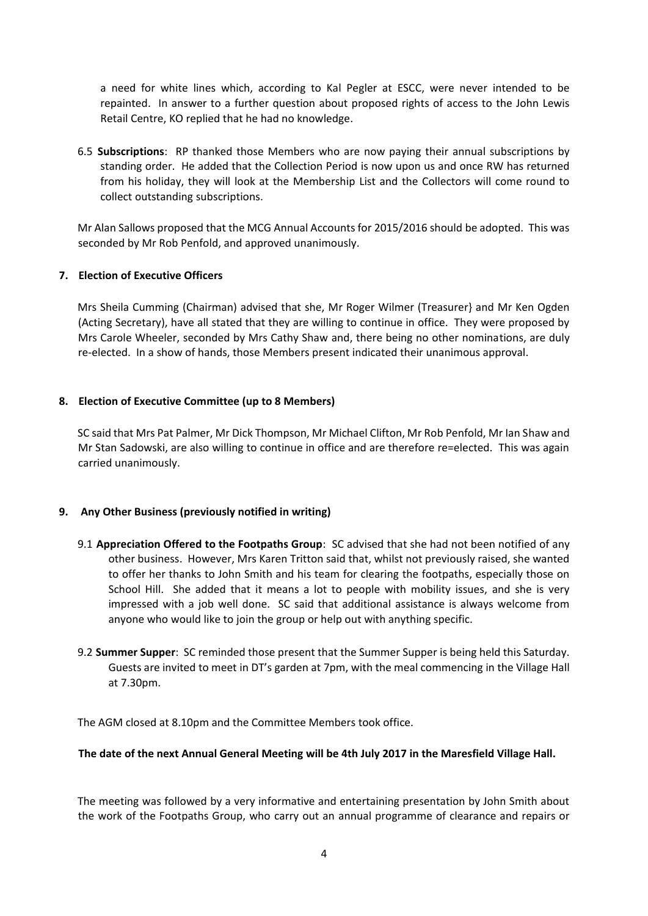a need for white lines which, according to Kal Pegler at ESCC, were never intended to be repainted. In answer to a further question about proposed rights of access to the John Lewis Retail Centre, KO replied that he had no knowledge.

6.5 **Subscriptions**: RP thanked those Members who are now paying their annual subscriptions by standing order. He added that the Collection Period is now upon us and once RW has returned from his holiday, they will look at the Membership List and the Collectors will come round to collect outstanding subscriptions.

Mr Alan Sallows proposed that the MCG Annual Accounts for 2015/2016 should be adopted. This was seconded by Mr Rob Penfold, and approved unanimously.

# **7. Election of Executive Officers**

Mrs Sheila Cumming (Chairman) advised that she, Mr Roger Wilmer (Treasurer} and Mr Ken Ogden (Acting Secretary), have all stated that they are willing to continue in office. They were proposed by Mrs Carole Wheeler, seconded by Mrs Cathy Shaw and, there being no other nominations, are duly re-elected. In a show of hands, those Members present indicated their unanimous approval.

# **8. Election of Executive Committee (up to 8 Members)**

SC said that Mrs Pat Palmer, Mr Dick Thompson, Mr Michael Clifton, Mr Rob Penfold, Mr Ian Shaw and Mr Stan Sadowski, are also willing to continue in office and are therefore re=elected. This was again carried unanimously.

# **9. Any Other Business (previously notified in writing)**

- 9.1 **Appreciation Offered to the Footpaths Group**: SC advised that she had not been notified of any other business. However, Mrs Karen Tritton said that, whilst not previously raised, she wanted to offer her thanks to John Smith and his team for clearing the footpaths, especially those on School Hill. She added that it means a lot to people with mobility issues, and she is very impressed with a job well done. SC said that additional assistance is always welcome from anyone who would like to join the group or help out with anything specific.
- 9.2 **Summer Supper**: SC reminded those present that the Summer Supper is being held this Saturday. Guests are invited to meet in DT's garden at 7pm, with the meal commencing in the Village Hall at 7.30pm.

The AGM closed at 8.10pm and the Committee Members took office.

# **The date of the next Annual General Meeting will be 4th July 2017 in the Maresfield Village Hall.**

The meeting was followed by a very informative and entertaining presentation by John Smith about the work of the Footpaths Group, who carry out an annual programme of clearance and repairs or